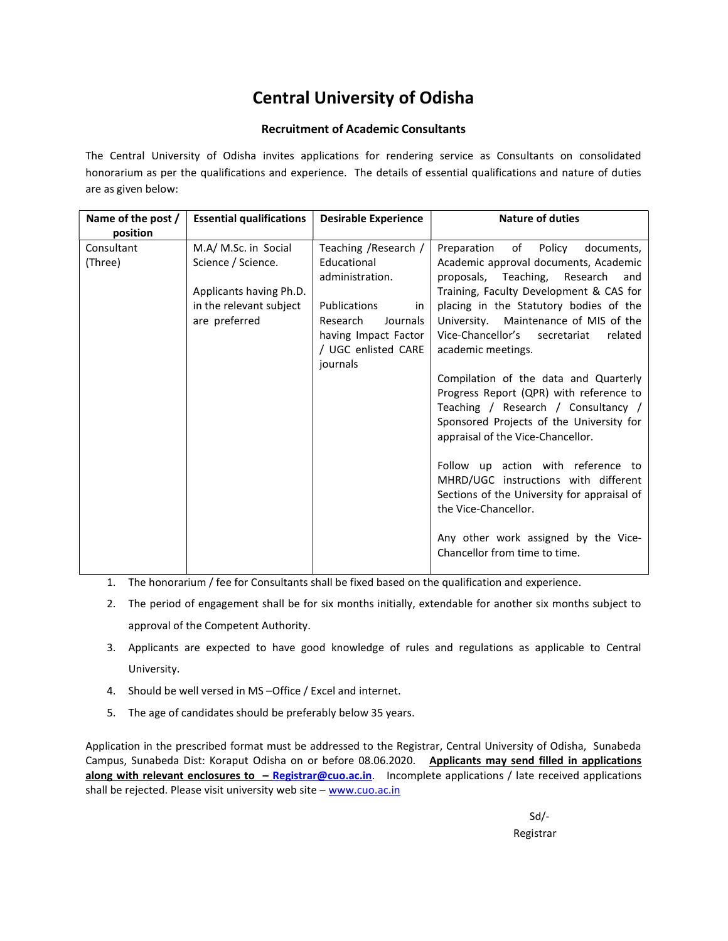# Central University of Odisha

## Recruitment of Academic Consultants

The Central University of Odisha invites applications for rendering service as Consultants on consolidated honorarium as per the qualifications and experience. The details of essential qualifications and nature of duties are as given below:

| Name of the post / | <b>Essential qualifications</b> | <b>Desirable Experience</b> | <b>Nature of duties</b>                                                    |  |
|--------------------|---------------------------------|-----------------------------|----------------------------------------------------------------------------|--|
| position           |                                 |                             |                                                                            |  |
| Consultant         | M.A/ M.Sc. in Social            | Teaching / Research /       | Preparation<br>of Policy<br>documents,                                     |  |
| (Three)            | Science / Science.              | Educational                 | Academic approval documents, Academic                                      |  |
|                    |                                 | administration.             | Teaching,<br>Research<br>proposals,<br>and                                 |  |
|                    | Applicants having Ph.D.         |                             | Training, Faculty Development & CAS for                                    |  |
|                    | in the relevant subject         | Publications<br>in          | placing in the Statutory bodies of the                                     |  |
|                    | are preferred                   | Research<br>Journals        | University. Maintenance of MIS of the                                      |  |
|                    |                                 | having Impact Factor        | Vice-Chancellor's secretariat<br>related                                   |  |
|                    |                                 | / UGC enlisted CARE         | academic meetings.                                                         |  |
|                    |                                 | journals                    |                                                                            |  |
|                    |                                 |                             | Compilation of the data and Quarterly                                      |  |
|                    |                                 |                             | Progress Report (QPR) with reference to                                    |  |
|                    |                                 |                             | Teaching / Research / Consultancy /                                        |  |
|                    |                                 |                             | Sponsored Projects of the University for                                   |  |
|                    |                                 |                             | appraisal of the Vice-Chancellor.                                          |  |
|                    |                                 |                             |                                                                            |  |
|                    |                                 |                             | Follow up action with reference to<br>MHRD/UGC instructions with different |  |
|                    |                                 |                             | Sections of the University for appraisal of                                |  |
|                    |                                 |                             | the Vice-Chancellor.                                                       |  |
|                    |                                 |                             |                                                                            |  |
|                    |                                 |                             | Any other work assigned by the Vice-                                       |  |
|                    |                                 |                             | Chancellor from time to time.                                              |  |
|                    |                                 |                             |                                                                            |  |

- 1. The honorarium / fee for Consultants shall be fixed based on the qualification and experience.
- 2. The period of engagement shall be for six months initially, extendable for another six months subject to approval of the Competent Authority.
- 3. Applicants are expected to have good knowledge of rules and regulations as applicable to Central University.
- 4. Should be well versed in MS –Office / Excel and internet.
- 5. The age of candidates should be preferably below 35 years.

Application in the prescribed format must be addressed to the Registrar, Central University of Odisha, Sunabeda Campus, Sunabeda Dist: Koraput Odisha on or before 08.06.2020. Applicants may send filled in applications along with relevant enclosures to - Registrar@cuo.ac.in. Incomplete applications / late received applications shall be rejected. Please visit university web site - www.cuo.ac.in